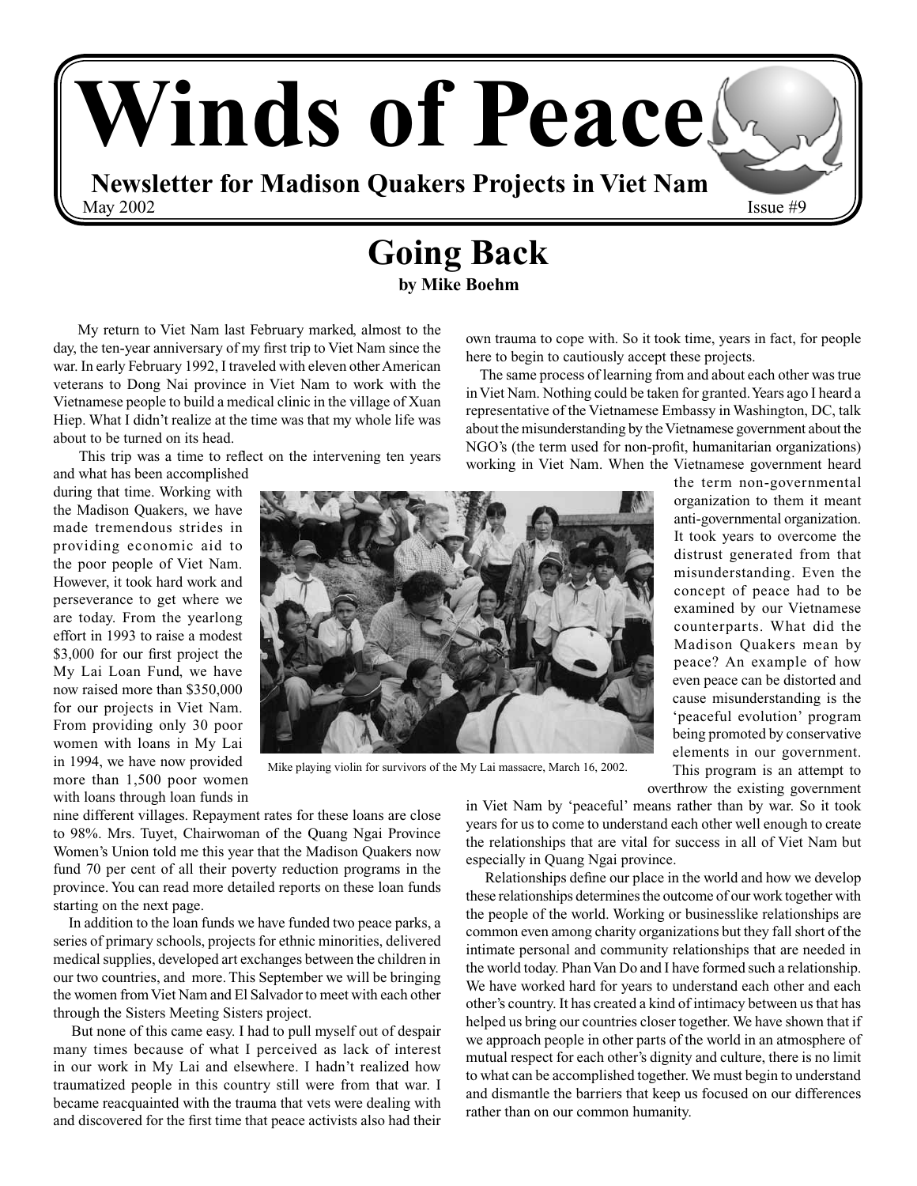# **Winds of Peace Newsletter for Madison Quakers Projects in Viet Nam** May  $2002$  Issue  $#9$

## **Going Back**

**by Mike Boehm**

 My return to Viet Nam last February marked, almost to the day, the ten-year anniversary of my first trip to Viet Nam since the war. In early February 1992, I traveled with eleven other American veterans to Dong Nai province in Viet Nam to work with the Vietnamese people to build a medical clinic in the village of Xuan Hiep. What I didn't realize at the time was that my whole life was about to be turned on its head.

This trip was a time to reflect on the intervening ten years

and what has been accomplished during that time. Working with the Madison Quakers, we have made tremendous strides in providing economic aid to the poor people of Viet Nam. However, it took hard work and perseverance to get where we are today. From the yearlong effort in 1993 to raise a modest \$3,000 for our first project the My Lai Loan Fund, we have now raised more than \$350,000 for our projects in Viet Nam. From providing only 30 poor women with loans in My Lai in 1994, we have now provided more than 1,500 poor women with loans through loan funds in



Mike playing violin for survivors of the My Lai massacre, March 16, 2002.

working in Viet Nam. When the Vietnamese government heard the term non-governmental organization to them it meant anti-governmental organization. It took years to overcome the distrust generated from that misunderstanding. Even the concept of peace had to be examined by our Vietnamese counterparts. What did the Madison Quakers mean by peace? An example of how even peace can be distorted and cause misunderstanding is the 'peaceful evolution' program being promoted by conservative elements in our government. This program is an attempt to

overthrow the existing government

nine different villages. Repayment rates for these loans are close to 98%. Mrs. Tuyet, Chairwoman of the Quang Ngai Province Women's Union told me this year that the Madison Quakers now fund 70 per cent of all their poverty reduction programs in the province. You can read more detailed reports on these loan funds starting on the next page.

 In addition to the loan funds we have funded two peace parks, a series of primary schools, projects for ethnic minorities, delivered medical supplies, developed art exchanges between the children in our two countries, and more. This September we will be bringing the women from Viet Nam and El Salvador to meet with each other through the Sisters Meeting Sisters project.

 But none of this came easy. I had to pull myself out of despair many times because of what I perceived as lack of interest in our work in My Lai and elsewhere. I hadn't realized how traumatized people in this country still were from that war. I became reacquainted with the trauma that vets were dealing with and discovered for the first time that peace activists also had their

in Viet Nam by 'peaceful' means rather than by war. So it took years for us to come to understand each other well enough to create the relationships that are vital for success in all of Viet Nam but especially in Quang Ngai province.

own trauma to cope with. So it took time, years in fact, for people

 The same process of learning from and about each other was true in Viet Nam. Nothing could be taken for granted. Years ago I heard a representative of the Vietnamese Embassy in Washington, DC, talk about the misunderstanding by the Vietnamese government about the NGO's (the term used for non-profit, humanitarian organizations)

here to begin to cautiously accept these projects.

 Relationships define our place in the world and how we develop these relationships determines the outcome of our work together with the people of the world. Working or businesslike relationships are common even among charity organizations but they fall short of the intimate personal and community relationships that are needed in the world today. Phan Van Do and I have formed such a relationship. We have worked hard for years to understand each other and each other's country. It has created a kind of intimacy between us that has helped us bring our countries closer together. We have shown that if we approach people in other parts of the world in an atmosphere of mutual respect for each other's dignity and culture, there is no limit to what can be accomplished together. We must begin to understand and dismantle the barriers that keep us focused on our differences rather than on our common humanity.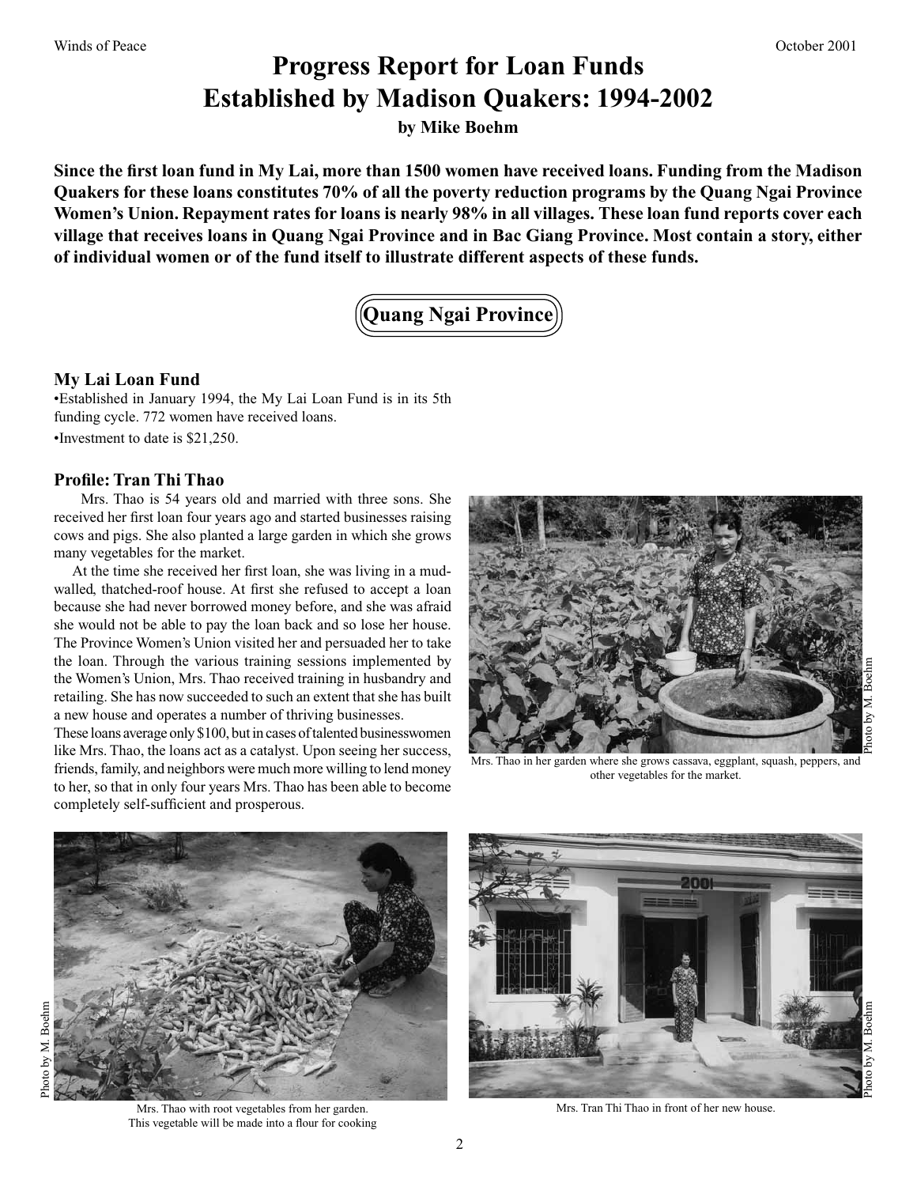### **Progress Report for Loan Funds Established by Madison Quakers: 1994-2002**

**by Mike Boehm**

**Since the first loan fund in My Lai, more than 1500 women have received loans. Funding from the Madison Quakers for these loans constitutes 70% of all the poverty reduction programs by the Quang Ngai Province Women's Union. Repayment rates for loans is nearly 98% in all villages. These loan fund reports cover each village that receives loans in Quang Ngai Province and in Bac Giang Province. Most contain a story, either of individual women or of the fund itself to illustrate different aspects of these funds.**

**Quang Ngai Province**

### **My Lai Loan Fund**

•Established in January 1994, the My Lai Loan Fund is in its 5th funding cycle. 772 women have received loans. •Investment to date is \$21,250.

### **Profile: Tran Thi Thao**

 Mrs. Thao is 54 years old and married with three sons. She received her first loan four years ago and started businesses raising cows and pigs. She also planted a large garden in which she grows many vegetables for the market.

 At the time she received her first loan, she was living in a mudwalled, thatched-roof house. At first she refused to accept a loan because she had never borrowed money before, and she was afraid she would not be able to pay the loan back and so lose her house. The Province Women's Union visited her and persuaded her to take the loan. Through the various training sessions implemented by the Women's Union, Mrs. Thao received training in husbandry and retailing. She has now succeeded to such an extent that she has built a new house and operates a number of thriving businesses.

These loans average only \$100, but in cases of talented businesswomen like Mrs. Thao, the loans act as a catalyst. Upon seeing her success, friends, family, and neighbors were much more willing to lend money to her, so that in only four years Mrs. Thao has been able to become completely self-sufficient and prosperous.



Mrs. Thao in her garden where she grows cassava, eggplant, squash, peppers, and other vegetables for the market.





Mrs. Thao with root vegetables from her garden. This vegetable will be made into a flour for cooking



Mrs. Tran Thi Thao in front of her new house.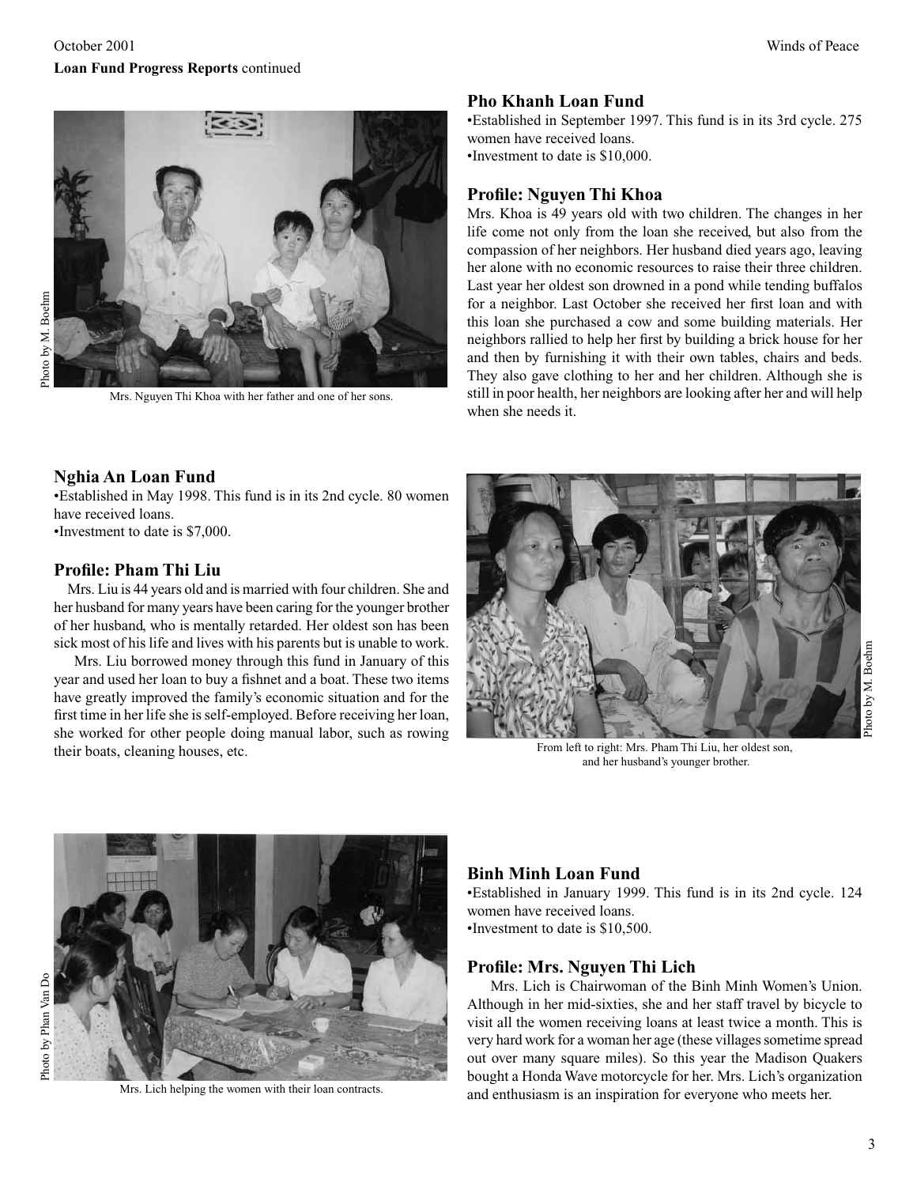

Mrs. Nguyen Thi Khoa with her father and one of her sons.

### **Pho Khanh Loan Fund**

•Established in September 1997. This fund is in its 3rd cycle. 275 women have received loans. •Investment to date is \$10,000.

### **Profile: Nguyen Thi Khoa**

Mrs. Khoa is 49 years old with two children. The changes in her life come not only from the loan she received, but also from the compassion of her neighbors. Her husband died years ago, leaving her alone with no economic resources to raise their three children. Last year her oldest son drowned in a pond while tending buffalos for a neighbor. Last October she received her first loan and with this loan she purchased a cow and some building materials. Her neighbors rallied to help her first by building a brick house for her and then by furnishing it with their own tables, chairs and beds. They also gave clothing to her and her children. Although she is still in poor health, her neighbors are looking after her and will help when she needs it.

### **Nghia An Loan Fund**

•Established in May 1998. This fund is in its 2nd cycle. 80 women have received loans. •Investment to date is \$7,000.

### **Profile: Pham Thi Liu**

 Mrs. Liu is 44 years old and is married with four children. She and her husband for many years have been caring for the younger brother of her husband, who is mentally retarded. Her oldest son has been sick most of his life and lives with his parents but is unable to work.

 Mrs. Liu borrowed money through this fund in January of this year and used her loan to buy a fishnet and a boat. These two items have greatly improved the family's economic situation and for the first time in her life she is self-employed. Before receiving her loan, she worked for other people doing manual labor, such as rowing their boats, cleaning houses, etc.



From left to right: Mrs. Pham Thi Liu, her oldest son, and her husband's younger brother.



Photo by Phan Van DoPhoto by Phan Van Do

Mrs. Lich helping the women with their loan contracts.

### **Binh Minh Loan Fund**

•Established in January 1999. This fund is in its 2nd cycle. 124 women have received loans. •Investment to date is \$10,500.

### **Profile: Mrs. Nguyen Thi Lich**

 Mrs. Lich is Chairwoman of the Binh Minh Women's Union. Although in her mid-sixties, she and her staff travel by bicycle to visit all the women receiving loans at least twice a month. This is very hard work for a woman her age (these villages sometime spread out over many square miles). So this year the Madison Quakers bought a Honda Wave motorcycle for her. Mrs. Lich's organization and enthusiasm is an inspiration for everyone who meets her.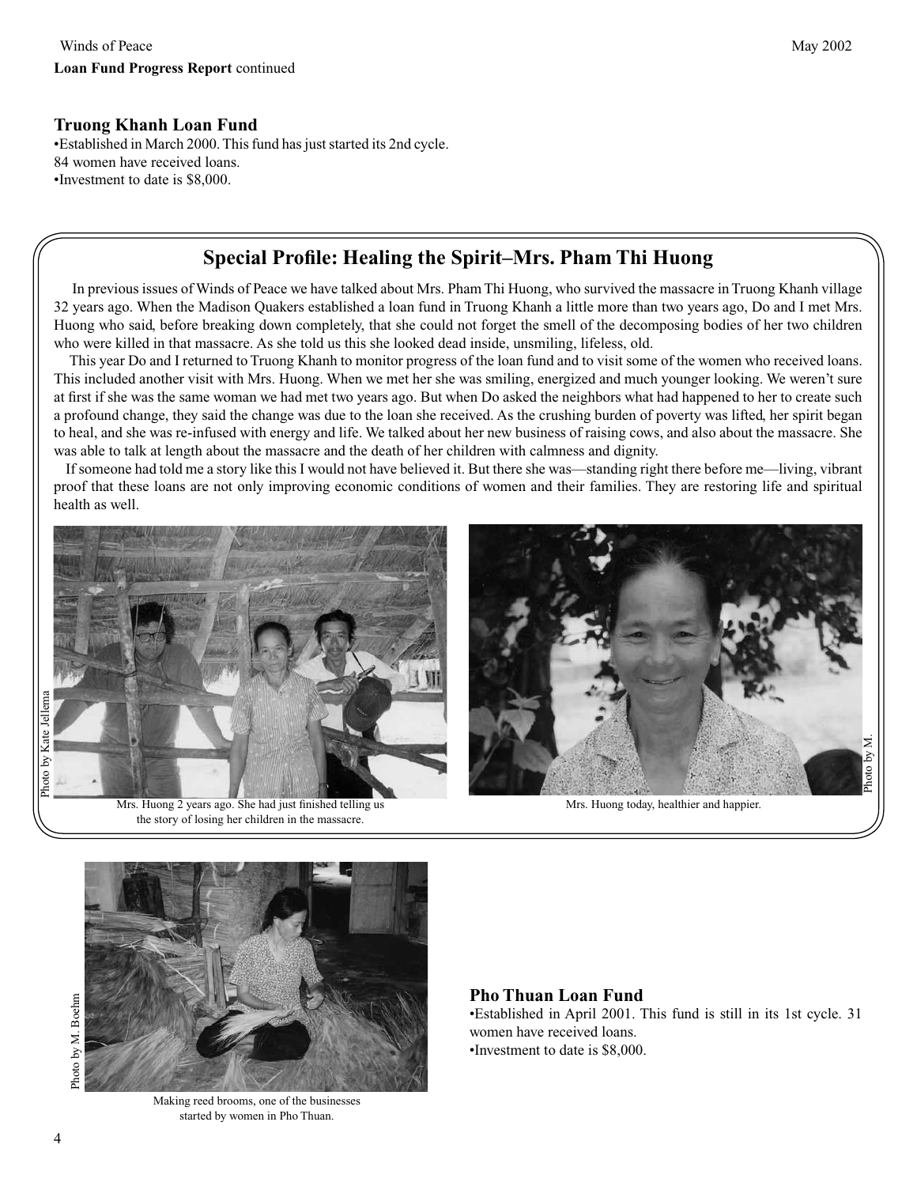### **Truong Khanh Loan Fund**

•Established in March 2000. This fund has just started its 2nd cycle. 84 women have received loans. •Investment to date is \$8,000.

### **Special Profile: Healing the Spirit–Mrs. Pham Thi Huong**

 In previous issues of Winds of Peace we have talked about Mrs. Pham Thi Huong, who survived the massacre in Truong Khanh village 32 years ago. When the Madison Quakers established a loan fund in Truong Khanh a little more than two years ago, Do and I met Mrs. Huong who said, before breaking down completely, that she could not forget the smell of the decomposing bodies of her two children who were killed in that massacre. As she told us this she looked dead inside, unsmiling, lifeless, old.

 This year Do and I returned to Truong Khanh to monitor progress of the loan fund and to visit some of the women who received loans. This included another visit with Mrs. Huong. When we met her she was smiling, energized and much younger looking. We weren't sure at first if she was the same woman we had met two years ago. But when Do asked the neighbors what had happened to her to create such a profound change, they said the change was due to the loan she received. As the crushing burden of poverty was lifted, her spirit began to heal, and she was re-infused with energy and life. We talked about her new business of raising cows, and also about the massacre. She was able to talk at length about the massacre and the death of her children with calmness and dignity.

 If someone had told me a story like this I would not have believed it. But there she was––standing right there before me—living, vibrant proof that these loans are not only improving economic conditions of women and their families. They are restoring life and spiritual health as well.







Mrs. Huong today, healthier and happier.



Making reed brooms, one of the businesses started by women in Pho Thuan.

### **Pho Thuan Loan Fund**

•Established in April 2001. This fund is still in its 1st cycle. 31 women have received loans. •Investment to date is \$8,000.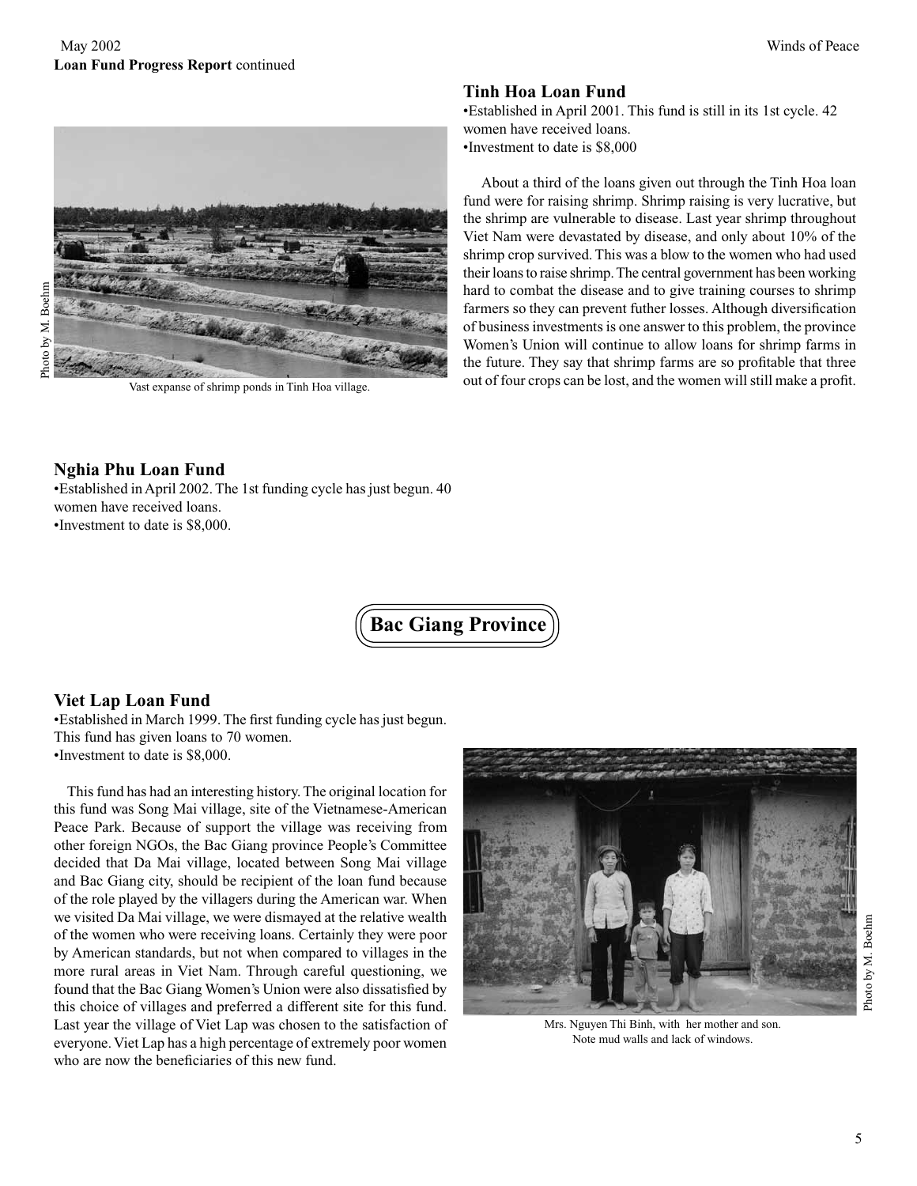

Photo by M. Boehm Photo by M. Boehm

Vast expanse of shrimp ponds in Tinh Hoa village.

### **Tinh Hoa Loan Fund**

•Established in April 2001. This fund is still in its 1st cycle. 42 women have received loans. •Investment to date is \$8,000

 About a third of the loans given out through the Tinh Hoa loan fund were for raising shrimp. Shrimp raising is very lucrative, but the shrimp are vulnerable to disease. Last year shrimp throughout Viet Nam were devastated by disease, and only about 10% of the shrimp crop survived. This was a blow to the women who had used their loans to raise shrimp. The central government has been working hard to combat the disease and to give training courses to shrimp farmers so they can prevent futher losses. Although diversification of business investments is one answer to this problem, the province Women's Union will continue to allow loans for shrimp farms in the future. They say that shrimp farms are so profitable that three out of four crops can be lost, and the women will still make a profit.

### **Nghia Phu Loan Fund**

•Established in April 2002. The 1st funding cycle has just begun. 40 women have received loans. •Investment to date is \$8,000.

**Bac Giang Province**

### **Viet Lap Loan Fund**

•Established in March 1999. The first funding cycle has just begun. This fund has given loans to 70 women. •Investment to date is \$8,000.

 This fund has had an interesting history. The original location for this fund was Song Mai village, site of the Vietnamese-American Peace Park. Because of support the village was receiving from other foreign NGOs, the Bac Giang province People's Committee decided that Da Mai village, located between Song Mai village and Bac Giang city, should be recipient of the loan fund because of the role played by the villagers during the American war. When we visited Da Mai village, we were dismayed at the relative wealth of the women who were receiving loans. Certainly they were poor by American standards, but not when compared to villages in the more rural areas in Viet Nam. Through careful questioning, we found that the Bac Giang Women's Union were also dissatisfied by this choice of villages and preferred a different site for this fund. Last year the village of Viet Lap was chosen to the satisfaction of everyone. Viet Lap has a high percentage of extremely poor women who are now the beneficiaries of this new fund.



Mrs. Nguyen Thi Binh, with her mother and son. Note mud walls and lack of windows.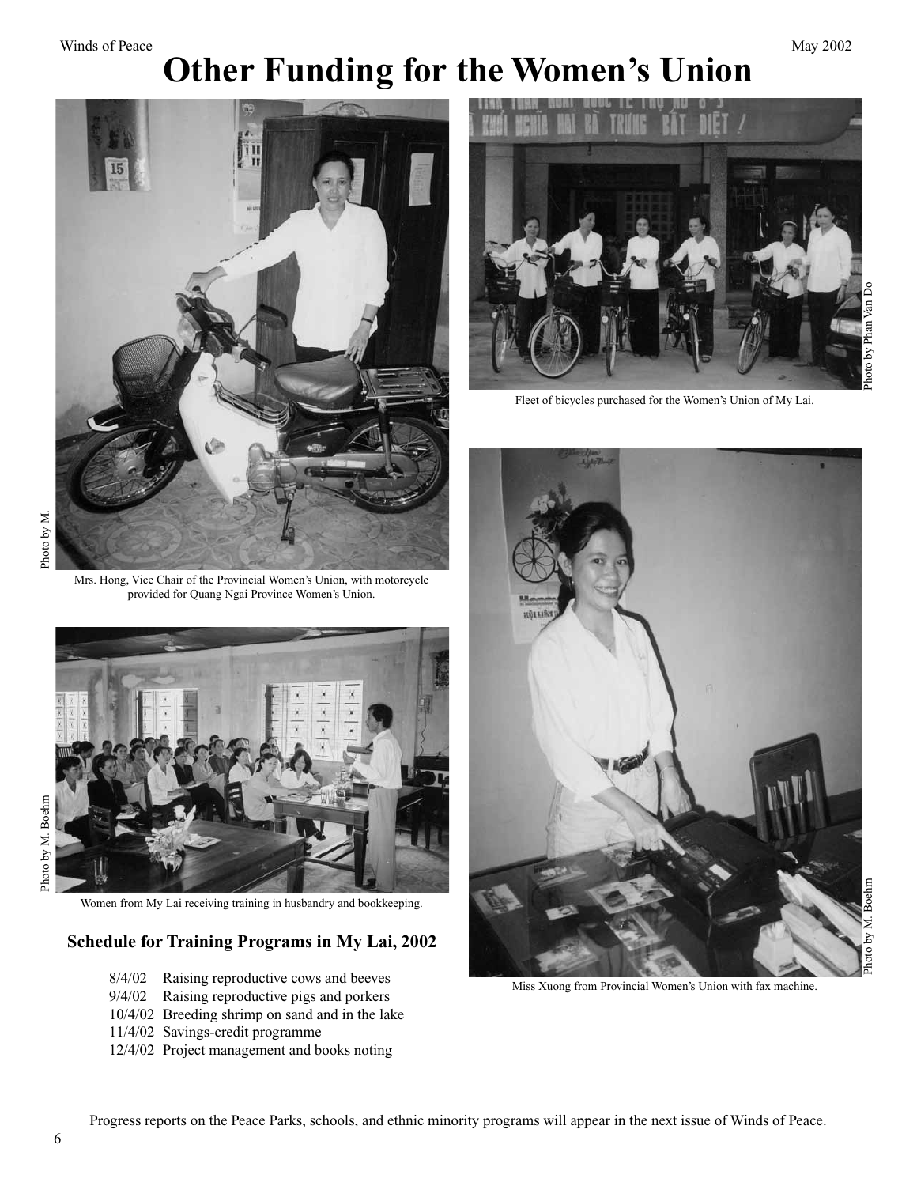### Winds of Peace May 2002 **Other Funding for the Women's Union**



Mrs. Hong, Vice Chair of the Provincial Women's Union, with motorcycle provided for Quang Ngai Province Women's Union.



Women from My Lai receiving training in husbandry and bookkeeping.

### **Schedule for Training Programs in My Lai, 2002**

- 8/4/02 Raising reproductive cows and beeves
- 9/4/02 Raising reproductive pigs and porkers
- 10/4/02 Breeding shrimp on sand and in the lake
- 11/4/02 Savings-credit programme
- 12/4/02 Project management and books noting



Fleet of bicycles purchased for the Women's Union of My Lai.



Miss Xuong from Provincial Women's Union with fax machine.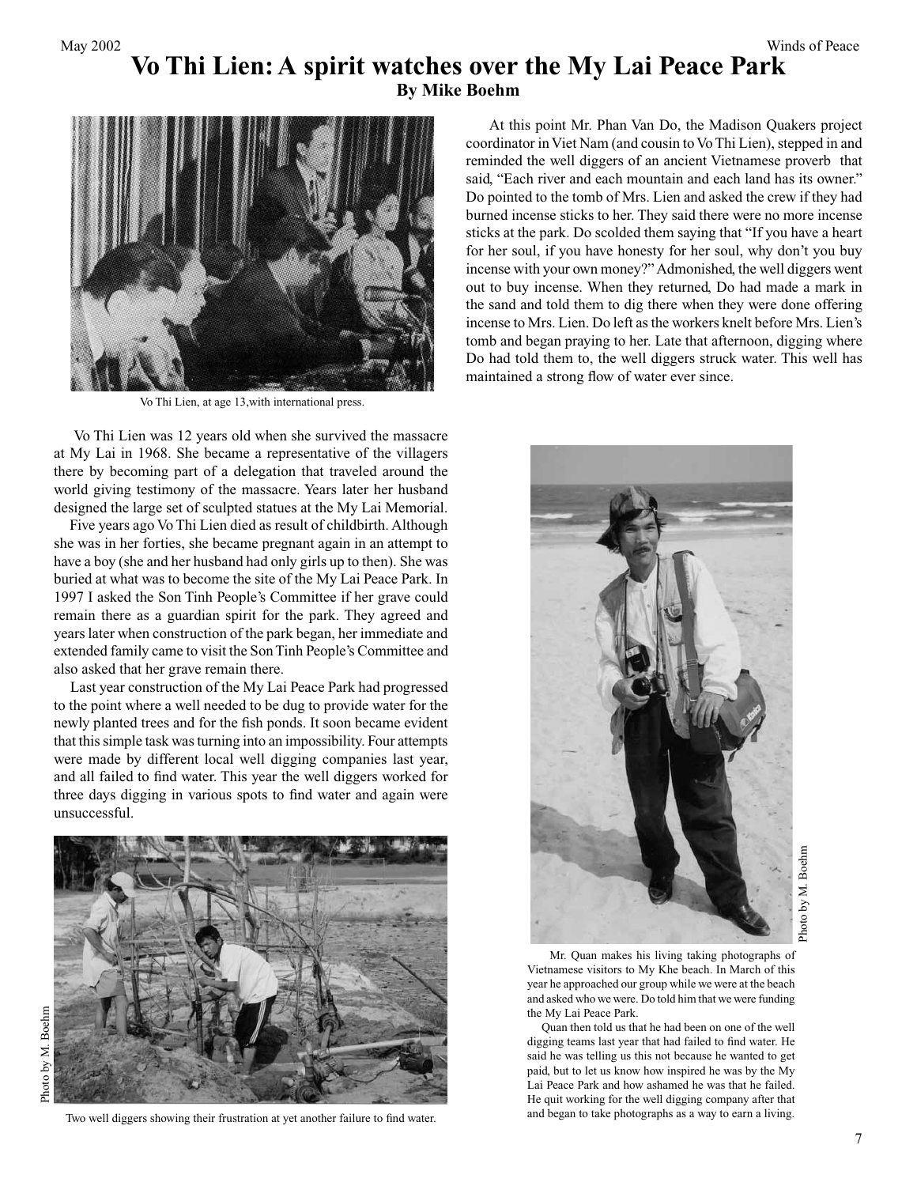### **Vo Thi Lien: A spirit watches over the My Lai Peace Park**

**By Mike Boehm**



Vo Thi Lien, at age 13,with international press.

 Vo Thi Lien was 12 years old when she survived the massacre at My Lai in 1968. She became a representative of the villagers there by becoming part of a delegation that traveled around the world giving testimony of the massacre. Years later her husband designed the large set of sculpted statues at the My Lai Memorial.

 Five years ago Vo Thi Lien died as result of childbirth. Although she was in her forties, she became pregnant again in an attempt to have a boy (she and her husband had only girls up to then). She was buried at what was to become the site of the My Lai Peace Park. In 1997 I asked the Son Tinh People's Committee if her grave could remain there as a guardian spirit for the park. They agreed and years later when construction of the park began, her immediate and extended family came to visit the Son Tinh People's Committee and also asked that her grave remain there.

 Last year construction of the My Lai Peace Park had progressed to the point where a well needed to be dug to provide water for the newly planted trees and for the fish ponds. It soon became evident that this simple task was turning into an impossibility. Four attempts were made by different local well digging companies last year, and all failed to find water. This year the well diggers worked for three days digging in various spots to find water and again were unsuccessful.



Photo by M. BoehmPhoto by M. Boehm

Two well diggers showing their frustration at yet another failure to find water.

 At this point Mr. Phan Van Do, the Madison Quakers project coordinator in Viet Nam (and cousin to Vo Thi Lien), stepped in and reminded the well diggers of an ancient Vietnamese proverb that said, "Each river and each mountain and each land has its owner." Do pointed to the tomb of Mrs. Lien and asked the crew if they had burned incense sticks to her. They said there were no more incense sticks at the park. Do scolded them saying that "If you have a heart for her soul, if you have honesty for her soul, why don't you buy incense with your own money?" Admonished, the well diggers went out to buy incense. When they returned, Do had made a mark in the sand and told them to dig there when they were done offering incense to Mrs. Lien. Do left as the workers knelt before Mrs. Lien's tomb and began praying to her. Late that afternoon, digging where Do had told them to, the well diggers struck water. This well has maintained a strong flow of water ever since.



Photo by M. Boehm Photo by M. Boehm

 Mr. Quan makes his living taking photographs of Vietnamese visitors to My Khe beach. In March of this year he approached our group while we were at the beach and asked who we were. Do told him that we were funding the My Lai Peace Park.

 Quan then told us that he had been on one of the well digging teams last year that had failed to find water. He said he was telling us this not because he wanted to get paid, but to let us know how inspired he was by the My Lai Peace Park and how ashamed he was that he failed. He quit working for the well digging company after that and began to take photographs as a way to earn a living.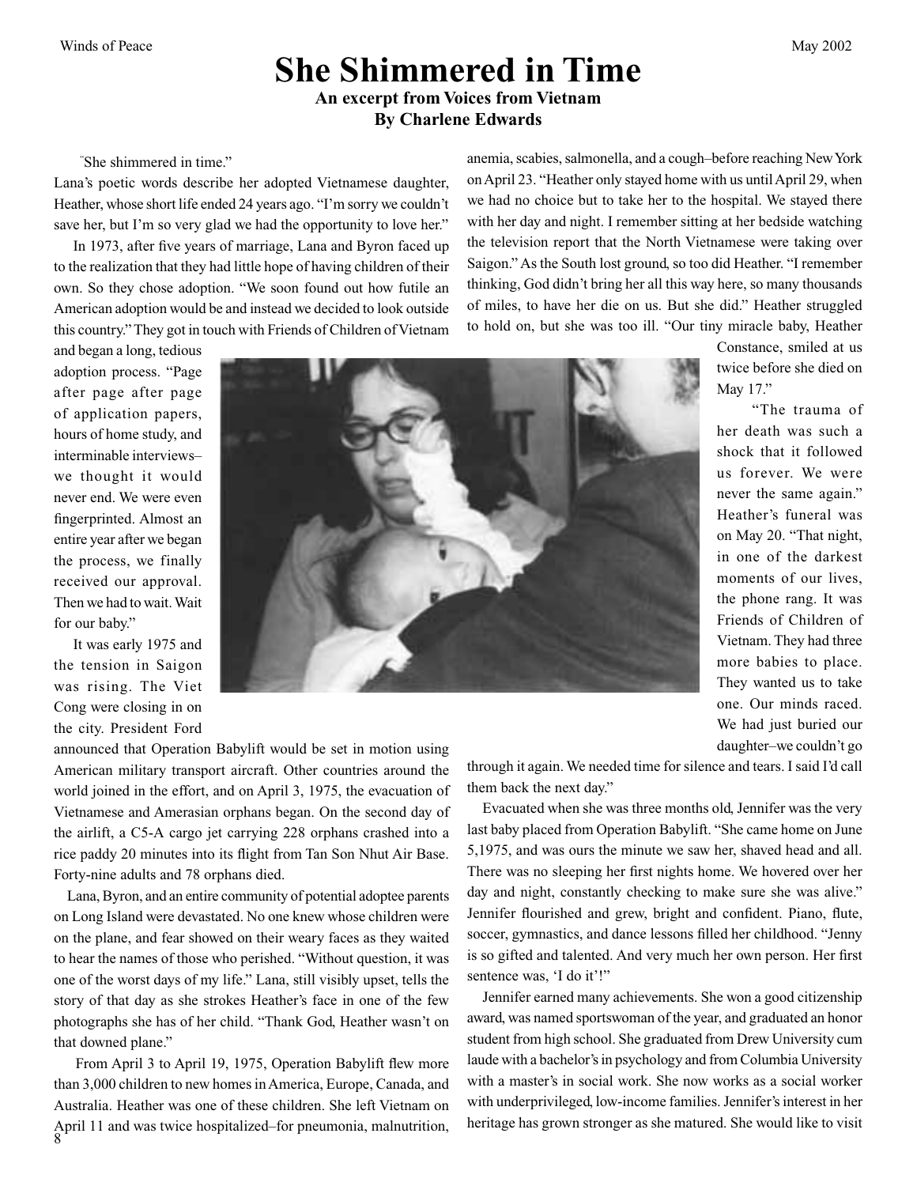### **She Shimmered in Time An excerpt from Voices from Vietnam By Charlene Edwards**

"She shimmered in time."

Lana's poetic words describe her adopted Vietnamese daughter, Heather, whose short life ended 24 years ago. "I'm sorry we couldn't save her, but I'm so very glad we had the opportunity to love her."

 In 1973, after five years of marriage, Lana and Byron faced up to the realization that they had little hope of having children of their own. So they chose adoption. "We soon found out how futile an American adoption would be and instead we decided to look outside this country." They got in touch with Friends of Children of Vietnam anemia, scabies, salmonella, and a cough–before reaching New York on April 23. "Heather only stayed home with us until April 29, when we had no choice but to take her to the hospital. We stayed there with her day and night. I remember sitting at her bedside watching the television report that the North Vietnamese were taking over Saigon." As the South lost ground, so too did Heather. "I remember thinking, God didn't bring her all this way here, so many thousands of miles, to have her die on us. But she did." Heather struggled to hold on, but she was too ill. "Our tiny miracle baby, Heather

and began a long, tedious adoption process. "Page after page after page of application papers, hours of home study, and interminable interviews– we thought it would never end. We were even fingerprinted. Almost an entire year after we began the process, we finally received our approval. Then we had to wait. Wait for our baby."

 It was early 1975 and the tension in Saigon was rising. The Viet Cong were closing in on the city. President Ford



Constance, smiled at us twice before she died on May 17."

 "The trauma of her death was such a shock that it followed us forever. We were never the same again." Heather's funeral was on May 20. "That night, in one of the darkest moments of our lives, the phone rang. It was Friends of Children of Vietnam. They had three more babies to place. They wanted us to take one. Our minds raced. We had just buried our daughter–we couldn't go

announced that Operation Babylift would be set in motion using American military transport aircraft. Other countries around the world joined in the effort, and on April 3, 1975, the evacuation of Vietnamese and Amerasian orphans began. On the second day of the airlift, a C5-A cargo jet carrying 228 orphans crashed into a rice paddy 20 minutes into its flight from Tan Son Nhut Air Base. Forty-nine adults and 78 orphans died.

 Lana, Byron, and an entire community of potential adoptee parents on Long Island were devastated. No one knew whose children were on the plane, and fear showed on their weary faces as they waited to hear the names of those who perished. "Without question, it was one of the worst days of my life." Lana, still visibly upset, tells the story of that day as she strokes Heather's face in one of the few photographs she has of her child. "Thank God, Heather wasn't on that downed plane."

8 From April 3 to April 19, 1975, Operation Babylift flew more than 3,000 children to new homes in America, Europe, Canada, and Australia. Heather was one of these children. She left Vietnam on April 11 and was twice hospitalized–for pneumonia, malnutrition,

through it again. We needed time for silence and tears. I said I'd call them back the next day."

 Evacuated when she was three months old, Jennifer was the very last baby placed from Operation Babylift. "She came home on June 5,1975, and was ours the minute we saw her, shaved head and all. There was no sleeping her first nights home. We hovered over her day and night, constantly checking to make sure she was alive." Jennifer flourished and grew, bright and confident. Piano, flute, soccer, gymnastics, and dance lessons filled her childhood. "Jenny is so gifted and talented. And very much her own person. Her first sentence was, 'I do it'!"

 Jennifer earned many achievements. She won a good citizenship award, was named sportswoman of the year, and graduated an honor student from high school. She graduated from Drew University cum laude with a bachelor's in psychology and from Columbia University with a master's in social work. She now works as a social worker with underprivileged, low-income families. Jennifer's interest in her heritage has grown stronger as she matured. She would like to visit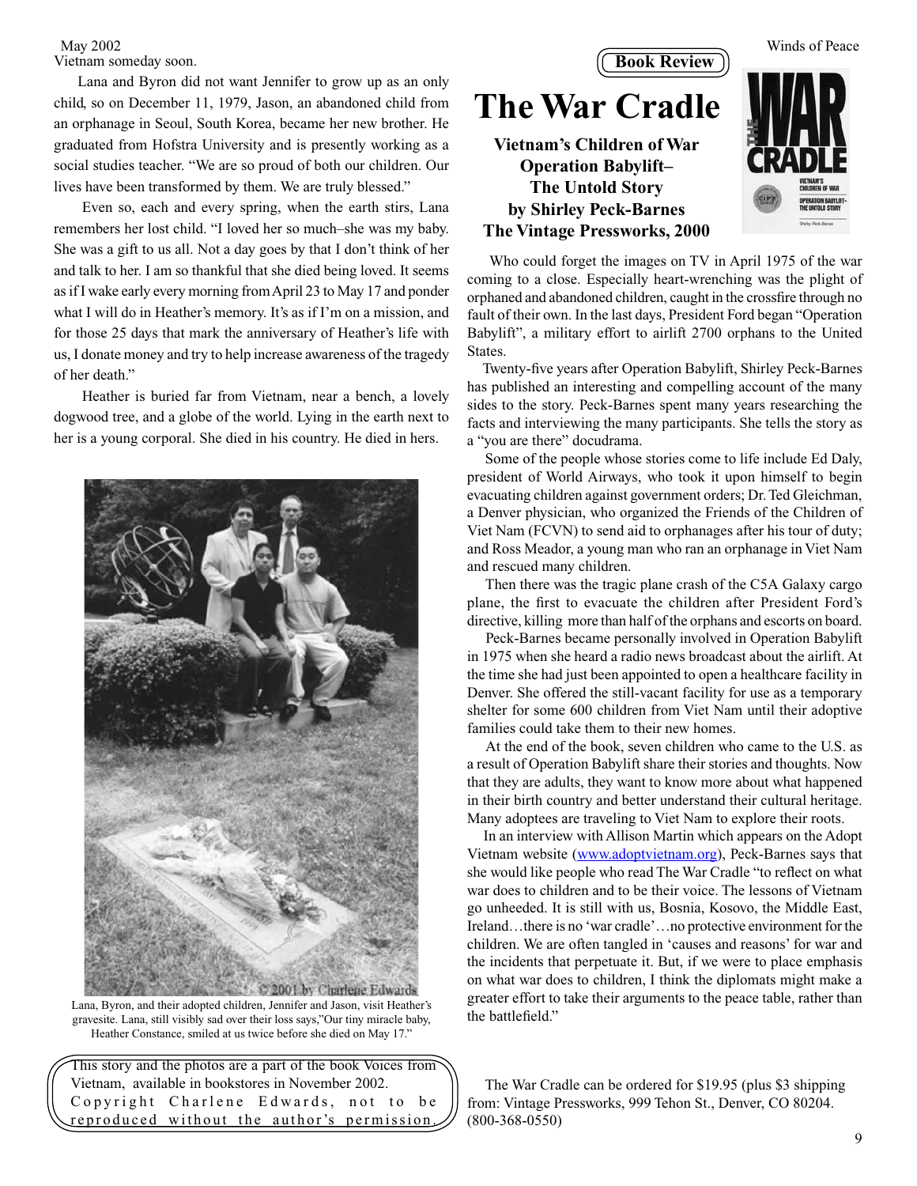### Vietnam someday soon.

 Lana and Byron did not want Jennifer to grow up as an only child, so on December 11, 1979, Jason, an abandoned child from an orphanage in Seoul, South Korea, became her new brother. He graduated from Hofstra University and is presently working as a social studies teacher. "We are so proud of both our children. Our lives have been transformed by them. We are truly blessed."

 Even so, each and every spring, when the earth stirs, Lana remembers her lost child. "I loved her so much–she was my baby. She was a gift to us all. Not a day goes by that I don't think of her and talk to her. I am so thankful that she died being loved. It seems as if I wake early every morning from April 23 to May 17 and ponder what I will do in Heather's memory. It's as if I'm on a mission, and for those 25 days that mark the anniversary of Heather's life with us, I donate money and try to help increase awareness of the tragedy of her death."

 Heather is buried far from Vietnam, near a bench, a lovely dogwood tree, and a globe of the world. Lying in the earth next to her is a young corporal. She died in his country. He died in hers.



Lana, Byron, and their adopted children, Jennifer and Jason, visit Heather's gravesite. Lana, still visibly sad over their loss says,"Our tiny miracle baby, Heather Constance, smiled at us twice before she died on May 17."

This story and the photos are a part of the book Voices from Vietnam, available in bookstores in November 2002. Copyright Charlene Edwards, not to be reproduced without the author's permission



 Who could forget the images on TV in April 1975 of the war coming to a close. Especially heart-wrenching was the plight of orphaned and abandoned children, caught in the crossfire through no fault of their own. In the last days, President Ford began "Operation Babylift", a military effort to airlift 2700 orphans to the United States.

 Twenty-five years after Operation Babylift, Shirley Peck-Barnes has published an interesting and compelling account of the many sides to the story. Peck-Barnes spent many years researching the facts and interviewing the many participants. She tells the story as a "you are there" docudrama.

 Some of the people whose stories come to life include Ed Daly, president of World Airways, who took it upon himself to begin evacuating children against government orders; Dr. Ted Gleichman, a Denver physician, who organized the Friends of the Children of Viet Nam (FCVN) to send aid to orphanages after his tour of duty; and Ross Meador, a young man who ran an orphanage in Viet Nam and rescued many children.

 Then there was the tragic plane crash of the C5A Galaxy cargo plane, the first to evacuate the children after President Ford's directive, killing more than half of the orphans and escorts on board.

 Peck-Barnes became personally involved in Operation Babylift in 1975 when she heard a radio news broadcast about the airlift. At the time she had just been appointed to open a healthcare facility in Denver. She offered the still-vacant facility for use as a temporary shelter for some 600 children from Viet Nam until their adoptive families could take them to their new homes.

 At the end of the book, seven children who came to the U.S. as a result of Operation Babylift share their stories and thoughts. Now that they are adults, they want to know more about what happened in their birth country and better understand their cultural heritage. Many adoptees are traveling to Viet Nam to explore their roots.

 In an interview with Allison Martin which appears on the Adopt Vietnam website (www.adoptvietnam.org), Peck-Barnes says that she would like people who read The War Cradle "to reflect on what war does to children and to be their voice. The lessons of Vietnam go unheeded. It is still with us, Bosnia, Kosovo, the Middle East, Ireland...there is no 'war cradle'...no protective environment for the children. We are often tangled in 'causes and reasons' for war and the incidents that perpetuate it. But, if we were to place emphasis on what war does to children, I think the diplomats might make a greater effort to take their arguments to the peace table, rather than the battlefield."

 The War Cradle can be ordered for \$19.95 (plus \$3 shipping from: Vintage Pressworks, 999 Tehon St., Denver, CO 80204. (800-368-0550)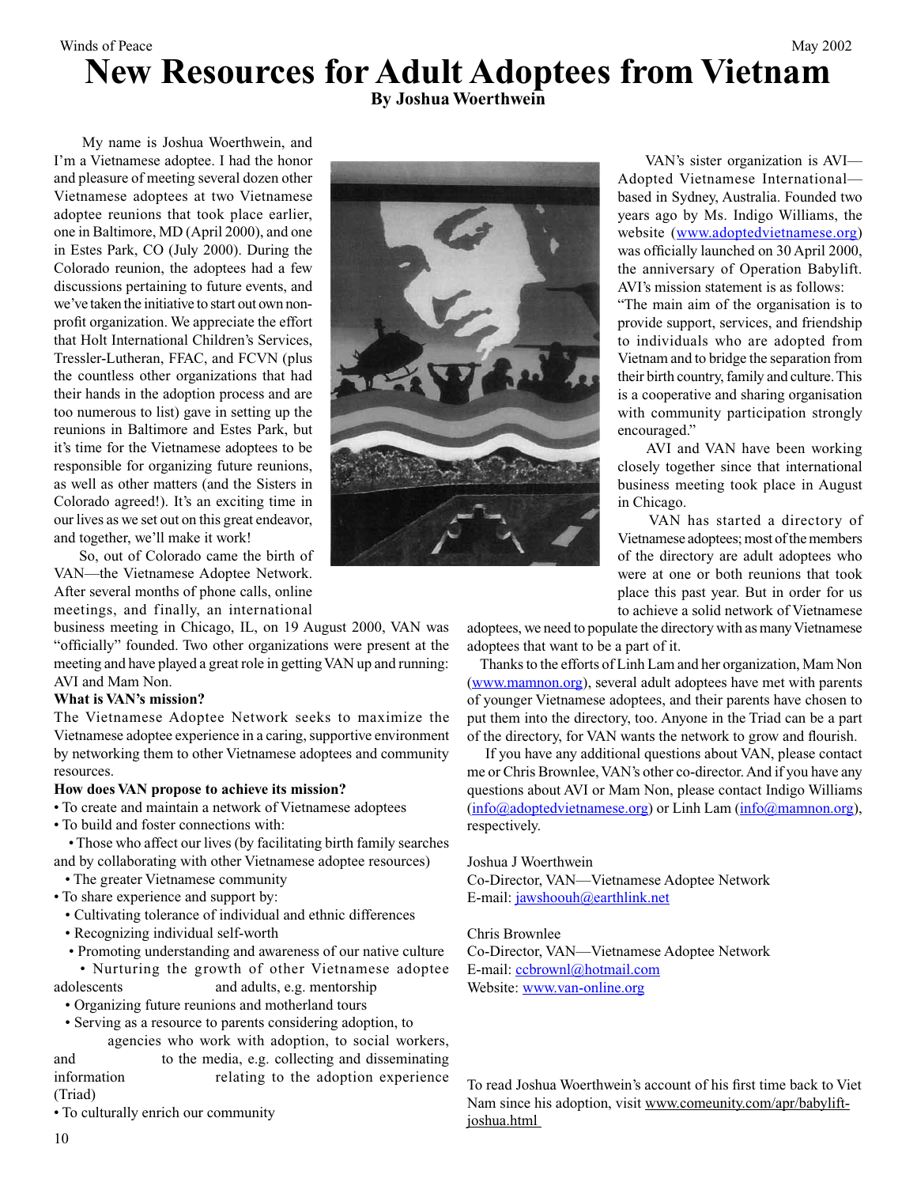### Winds of Peace May 2002 **New Resources for Adult Adoptees from Vietnam**

**By Joshua Woerthwein**

 My name is Joshua Woerthwein, and I'm a Vietnamese adoptee. I had the honor and pleasure of meeting several dozen other Vietnamese adoptees at two Vietnamese adoptee reunions that took place earlier, one in Baltimore, MD (April 2000), and one in Estes Park, CO (July 2000). During the Colorado reunion, the adoptees had a few discussions pertaining to future events, and we've taken the initiative to start out own nonprofit organization. We appreciate the effort that Holt International Children's Services, Tressler-Lutheran, FFAC, and FCVN (plus the countless other organizations that had their hands in the adoption process and are too numerous to list) gave in setting up the reunions in Baltimore and Estes Park, but it's time for the Vietnamese adoptees to be responsible for organizing future reunions, as well as other matters (and the Sisters in Colorado agreed!). It's an exciting time in our lives as we set out on this great endeavor, and together, we'll make it work!

 So, out of Colorado came the birth of VAN—the Vietnamese Adoptee Network. After several months of phone calls, online meetings, and finally, an international

business meeting in Chicago, IL, on 19 August 2000, VAN was "officially" founded. Two other organizations were present at the meeting and have played a great role in getting VAN up and running: AVI and Mam Non.

#### **What is VAN's mission?**

The Vietnamese Adoptee Network seeks to maximize the Vietnamese adoptee experience in a caring, supportive environment by networking them to other Vietnamese adoptees and community resources.

#### **How does VAN propose to achieve its mission?**

• To create and maintain a network of Vietnamese adoptees

• To build and foster connections with:

 • Those who affect our lives (by facilitating birth family searches and by collaborating with other Vietnamese adoptee resources)

- The greater Vietnamese community
- To share experience and support by:
	- Cultivating tolerance of individual and ethnic differences
	- Recognizing individual self-worth
	- Promoting understanding and awareness of our native culture
	- Nurturing the growth of other Vietnamese adoptee
- adolescents and adults, e.g. mentorship
- Organizing future reunions and motherland tours
- Serving as a resource to parents considering adoption, to

agencies who work with adoption, to social workers, and to the media, e.g. collecting and disseminating information relating to the adoption experience (Triad)

• To culturally enrich our community



 VAN's sister organization is AVI— Adopted Vietnamese International based in Sydney, Australia. Founded two years ago by Ms. Indigo Williams, the website (www.adoptedvietnamese.org) was officially launched on 30 April 2000, the anniversary of Operation Babylift. AVI's mission statement is as follows:

"The main aim of the organisation is to provide support, services, and friendship to individuals who are adopted from Vietnam and to bridge the separation from their birth country, family and culture. This is a cooperative and sharing organisation with community participation strongly encouraged."

 AVI and VAN have been working closely together since that international business meeting took place in August in Chicago.

 VAN has started a directory of Vietnamese adoptees; most of the members of the directory are adult adoptees who were at one or both reunions that took place this past year. But in order for us to achieve a solid network of Vietnamese

adoptees, we need to populate the directory with as many Vietnamese adoptees that want to be a part of it.

 Thanks to the efforts of Linh Lam and her organization, Mam Non (www.mamnon.org), several adult adoptees have met with parents of younger Vietnamese adoptees, and their parents have chosen to put them into the directory, too. Anyone in the Triad can be a part of the directory, for VAN wants the network to grow and flourish.

 If you have any additional questions about VAN, please contact me or Chris Brownlee, VAN's other co-director. And if you have any questions about AVI or Mam Non, please contact Indigo Williams (info@adoptedvietnamese.org) or Linh Lam (info@mamnon.org), respectively.

Joshua J Woerthwein

Co-Director, VAN—Vietnamese Adoptee Network E-mail: jawshoouh@earthlink.net

#### Chris Brownlee

Co-Director, VAN—Vietnamese Adoptee Network E-mail: ccbrownl@hotmail.com Website: www.van-online.org

To read Joshua Woerthwein's account of his first time back to Viet Nam since his adoption, visit www.comeunity.com/apr/babyliftjoshua.html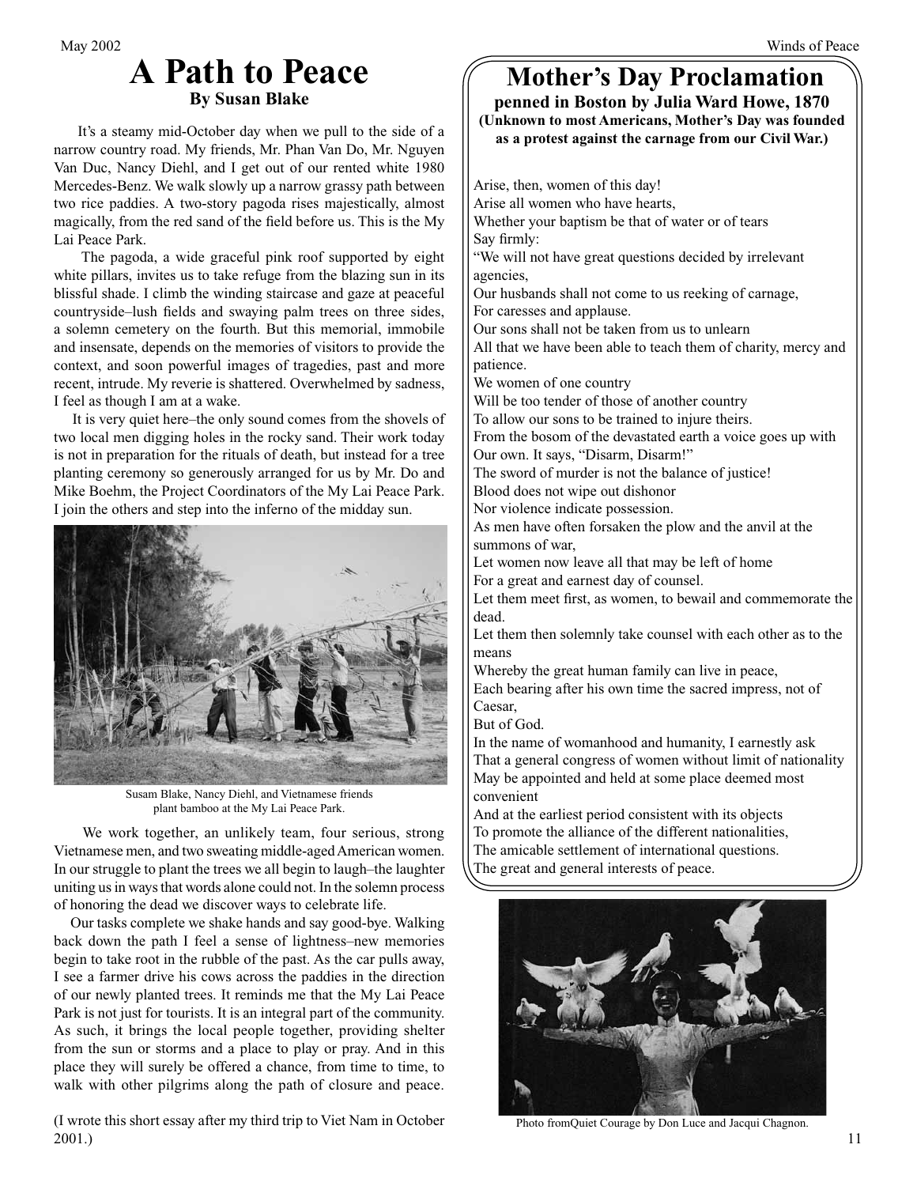### **A Path to Peace By Susan Blake**

 It's a steamy mid-October day when we pull to the side of a narrow country road. My friends, Mr. Phan Van Do, Mr. Nguyen Van Duc, Nancy Diehl, and I get out of our rented white 1980 Mercedes-Benz. We walk slowly up a narrow grassy path between two rice paddies. A two-story pagoda rises majestically, almost magically, from the red sand of the field before us. This is the My Lai Peace Park.

 The pagoda, a wide graceful pink roof supported by eight white pillars, invites us to take refuge from the blazing sun in its blissful shade. I climb the winding staircase and gaze at peaceful countryside–lush fields and swaying palm trees on three sides, a solemn cemetery on the fourth. But this memorial, immobile and insensate, depends on the memories of visitors to provide the context, and soon powerful images of tragedies, past and more recent, intrude. My reverie is shattered. Overwhelmed by sadness, I feel as though I am at a wake.

 It is very quiet here–the only sound comes from the shovels of two local men digging holes in the rocky sand. Their work today is not in preparation for the rituals of death, but instead for a tree planting ceremony so generously arranged for us by Mr. Do and Mike Boehm, the Project Coordinators of the My Lai Peace Park. I join the others and step into the inferno of the midday sun.



Susam Blake, Nancy Diehl, and Vietnamese friends plant bamboo at the My Lai Peace Park.

 We work together, an unlikely team, four serious, strong Vietnamese men, and two sweating middle-aged American women. In our struggle to plant the trees we all begin to laugh–the laughter uniting us in ways that words alone could not. In the solemn process of honoring the dead we discover ways to celebrate life.

 Our tasks complete we shake hands and say good-bye. Walking back down the path I feel a sense of lightness–new memories begin to take root in the rubble of the past. As the car pulls away, I see a farmer drive his cows across the paddies in the direction of our newly planted trees. It reminds me that the My Lai Peace Park is not just for tourists. It is an integral part of the community. As such, it brings the local people together, providing shelter from the sun or storms and a place to play or pray. And in this place they will surely be offered a chance, from time to time, to walk with other pilgrims along the path of closure and peace.

(I wrote this short essay after my third trip to Viet Nam in October 2001.)

## **Mother's Day Proclamation**

**penned in Boston by Julia Ward Howe, 1870 (Unknown to most Americans, Mother's Day was founded as a protest against the carnage from our Civil War.)**

Arise, then, women of this day! Arise all women who have hearts, Whether your baptism be that of water or of tears Say firmly: "We will not have great questions decided by irrelevant agencies, Our husbands shall not come to us reeking of carnage, For caresses and applause. Our sons shall not be taken from us to unlearn All that we have been able to teach them of charity, mercy and patience. We women of one country Will be too tender of those of another country To allow our sons to be trained to injure theirs. From the bosom of the devastated earth a voice goes up with Our own. It says, "Disarm, Disarm!" The sword of murder is not the balance of justice! Blood does not wipe out dishonor Nor violence indicate possession. As men have often forsaken the plow and the anvil at the summons of war, Let women now leave all that may be left of home For a great and earnest day of counsel. Let them meet first, as women, to bewail and commemorate the dead. Let them then solemnly take counsel with each other as to the means Whereby the great human family can live in peace, Each bearing after his own time the sacred impress, not of Caesar, But of God. In the name of womanhood and humanity, I earnestly ask That a general congress of women without limit of nationality May be appointed and held at some place deemed most convenient And at the earliest period consistent with its objects To promote the alliance of the different nationalities, The amicable settlement of international questions. The great and general interests of peace.



Photo fromQuiet Courage by Don Luce and Jacqui Chagnon.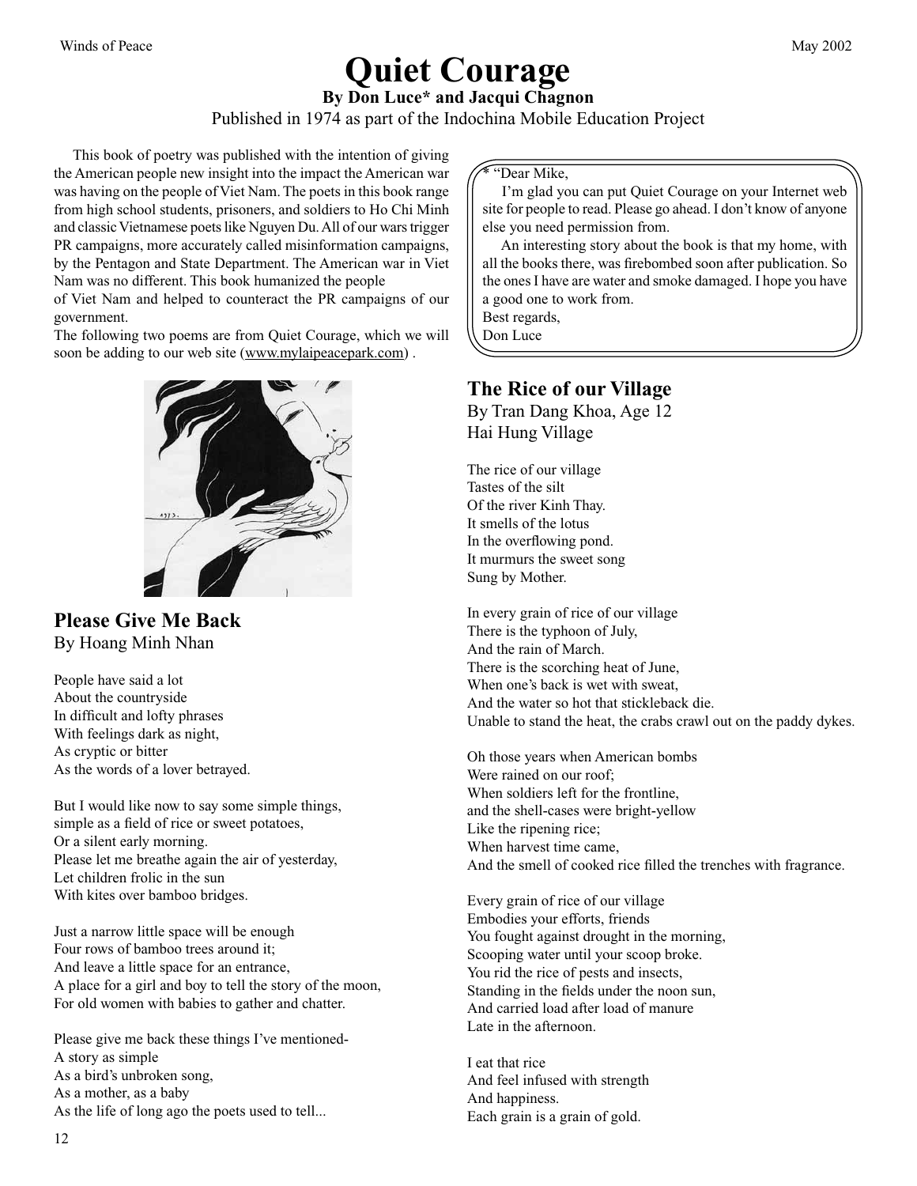## **Quiet Courage**

**By Don Luce\* and Jacqui Chagnon**

Published in 1974 as part of the Indochina Mobile Education Project

 This book of poetry was published with the intention of giving the American people new insight into the impact the American war was having on the people of Viet Nam. The poets in this book range from high school students, prisoners, and soldiers to Ho Chi Minh and classic Vietnamese poets like Nguyen Du. All of our wars trigger PR campaigns, more accurately called misinformation campaigns, by the Pentagon and State Department. The American war in Viet Nam was no different. This book humanized the people

of Viet Nam and helped to counteract the PR campaigns of our government.

The following two poems are from Quiet Courage, which we will soon be adding to our web site (www.mylaipeacepark.com).



**Please Give Me Back** By Hoang Minh Nhan

People have said a lot About the countryside In difficult and lofty phrases With feelings dark as night, As cryptic or bitter As the words of a lover betrayed.

But I would like now to say some simple things, simple as a field of rice or sweet potatoes, Or a silent early morning. Please let me breathe again the air of yesterday, Let children frolic in the sun With kites over bamboo bridges.

Just a narrow little space will be enough Four rows of bamboo trees around it; And leave a little space for an entrance, A place for a girl and boy to tell the story of the moon, For old women with babies to gather and chatter.

Please give me back these things I've mentioned-A story as simple As a bird's unbroken song, As a mother, as a baby As the life of long ago the poets used to tell...

\* "Dear Mike,

 I'm glad you can put Quiet Courage on your Internet web site for people to read. Please go ahead. I don't know of anyone else you need permission from.

 An interesting story about the book is that my home, with all the books there, was firebombed soon after publication. So the ones I have are water and smoke damaged. I hope you have a good one to work from.

Best regards, Don Luce

**The Rice of our Village**

By Tran Dang Khoa, Age 12 Hai Hung Village

The rice of our village Tastes of the silt Of the river Kinh Thay. It smells of the lotus In the overflowing pond. It murmurs the sweet song Sung by Mother.

In every grain of rice of our village There is the typhoon of July, And the rain of March. There is the scorching heat of June, When one's back is wet with sweat, And the water so hot that stickleback die. Unable to stand the heat, the crabs crawl out on the paddy dykes.

Oh those years when American bombs Were rained on our roof; When soldiers left for the frontline, and the shell-cases were bright-yellow Like the ripening rice; When harvest time came, And the smell of cooked rice filled the trenches with fragrance.

Every grain of rice of our village Embodies your efforts, friends You fought against drought in the morning, Scooping water until your scoop broke. You rid the rice of pests and insects, Standing in the fields under the noon sun, And carried load after load of manure Late in the afternoon.

I eat that rice And feel infused with strength And happiness. Each grain is a grain of gold.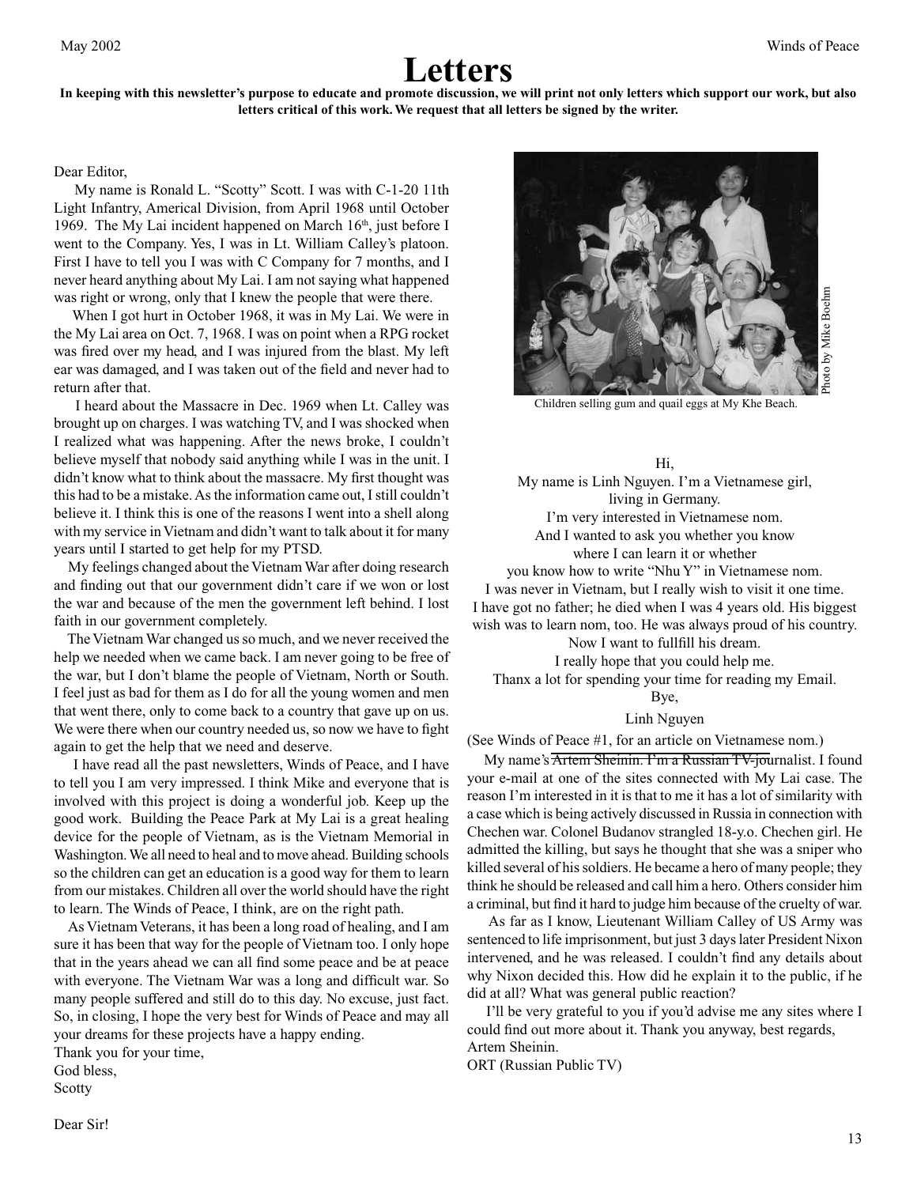### **Letters**

#### **In keeping with this newsletter's purpose to educate and promote discussion, we will print not only letters which support our work, but also letters critical of this work. We request that all letters be signed by the writer.**

#### Dear Editor,

 My name is Ronald L. "Scotty" Scott. I was with C-1-20 11th Light Infantry, Americal Division, from April 1968 until October 1969. The My Lai incident happened on March  $16<sup>th</sup>$ , just before I went to the Company. Yes, I was in Lt. William Calley's platoon. First I have to tell you I was with C Company for 7 months, and I never heard anything about My Lai. I am not saying what happened was right or wrong, only that I knew the people that were there.

 When I got hurt in October 1968, it was in My Lai. We were in the My Lai area on Oct. 7, 1968. I was on point when a RPG rocket was fired over my head, and I was injured from the blast. My left ear was damaged, and I was taken out of the field and never had to return after that.

 I heard about the Massacre in Dec. 1969 when Lt. Calley was brought up on charges. I was watching TV, and I was shocked when I realized what was happening. After the news broke, I couldn't believe myself that nobody said anything while I was in the unit. I didn't know what to think about the massacre. My first thought was this had to be a mistake. As the information came out, I still couldn't believe it. I think this is one of the reasons I went into a shell along with my service in Vietnam and didn't want to talk about it for many years until I started to get help for my PTSD.

 My feelings changed about the Vietnam War after doing research and finding out that our government didn't care if we won or lost the war and because of the men the government left behind. I lost faith in our government completely.

 The Vietnam War changed us so much, and we never received the help we needed when we came back. I am never going to be free of the war, but I don't blame the people of Vietnam, North or South. I feel just as bad for them as I do for all the young women and men that went there, only to come back to a country that gave up on us. We were there when our country needed us, so now we have to fight again to get the help that we need and deserve.

 I have read all the past newsletters, Winds of Peace, and I have to tell you I am very impressed. I think Mike and everyone that is involved with this project is doing a wonderful job. Keep up the good work. Building the Peace Park at My Lai is a great healing device for the people of Vietnam, as is the Vietnam Memorial in Washington. We all need to heal and to move ahead. Building schools so the children can get an education is a good way for them to learn from our mistakes. Children all over the world should have the right to learn. The Winds of Peace, I think, are on the right path.

 As Vietnam Veterans, it has been a long road of healing, and I am sure it has been that way for the people of Vietnam too. I only hope that in the years ahead we can all find some peace and be at peace with everyone. The Vietnam War was a long and difficult war. So many people suffered and still do to this day. No excuse, just fact. So, in closing, I hope the very best for Winds of Peace and may all your dreams for these projects have a happy ending.

Thank you for your time, God bless,

Scotty



Children selling gum and quail eggs at My Khe Beach.

#### Hi,

My name is Linh Nguyen. I'm a Vietnamese girl, living in Germany. I'm very interested in Vietnamese nom. And I wanted to ask you whether you know where I can learn it or whether

you know how to write "Nhu Y" in Vietnamese nom. I was never in Vietnam, but I really wish to visit it one time. I have got no father; he died when I was 4 years old. His biggest wish was to learn nom, too. He was always proud of his country.

Now I want to fullfill his dream.

I really hope that you could help me. Thanx a lot for spending your time for reading my Email.

Bye,

#### Linh Nguyen

My name's **Artem Sheinin. I'm a Russian TV-journalist**. I found your e-mail at one of the sites connected with My Lai case. The reason I'm interested in it is that to me it has a lot of similarity with a case which is being actively discussed in Russia in connection with Chechen war. Colonel Budanov strangled 18-y.o. Chechen girl. He admitted the killing, but says he thought that she was a sniper who killed several of his soldiers. He became a hero of many people; they think he should be released and call him a hero. Others consider him a criminal, but find it hard to judge him because of the cruelty of war.

 As far as I know, Lieutenant William Calley of US Army was sentenced to life imprisonment, but just 3 days later President Nixon intervened, and he was released. I couldn't find any details about why Nixon decided this. How did he explain it to the public, if he did at all? What was general public reaction?

 I'll be very grateful to you if you'd advise me any sites where I could find out more about it. Thank you anyway, best regards, Artem Sheinin.

ORT (Russian Public TV)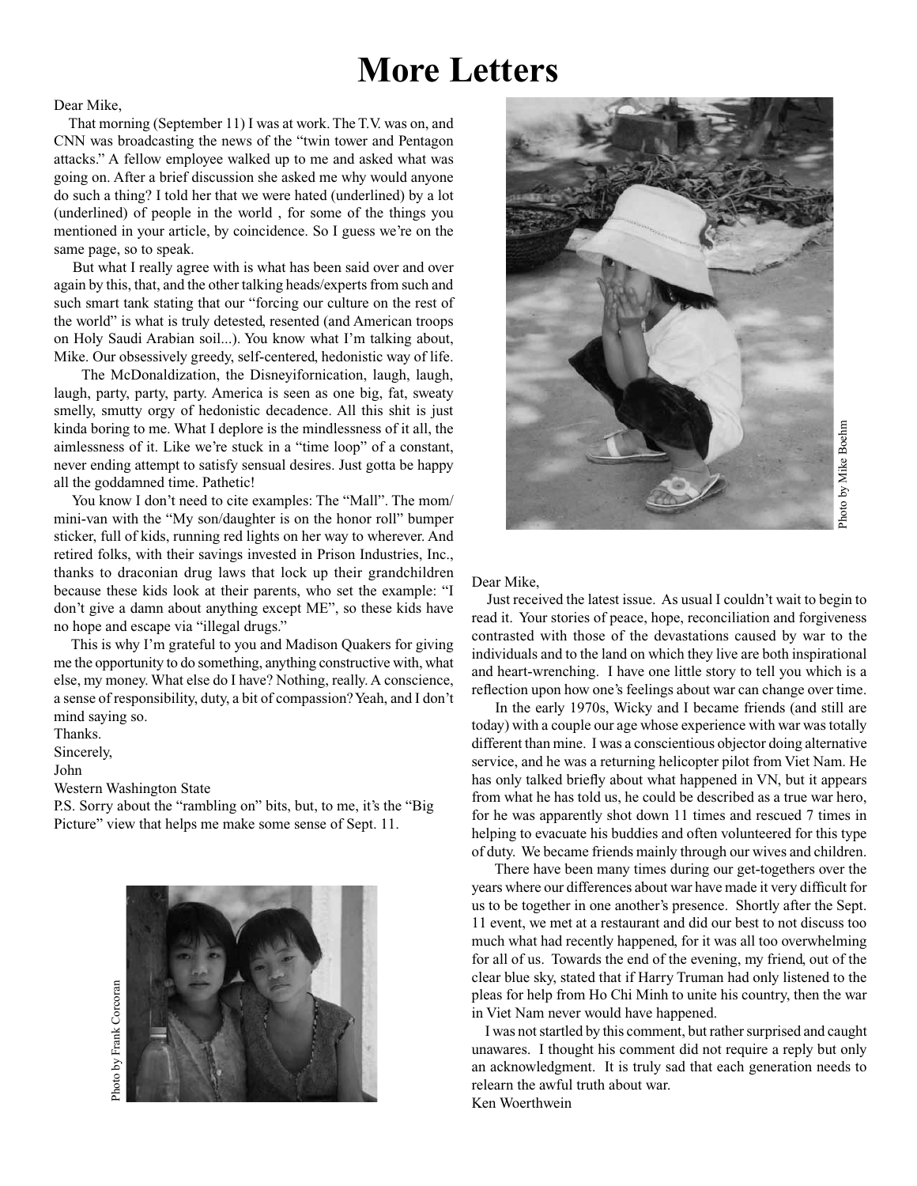## **More Letters**

Dear Mike,

 That morning (September 11) I was at work. The T.V. was on, and CNN was broadcasting the news of the "twin tower and Pentagon attacks." A fellow employee walked up to me and asked what was going on. After a brief discussion she asked me why would anyone do such a thing? I told her that we were hated (underlined) by a lot (underlined) of people in the world , for some of the things you mentioned in your article, by coincidence. So I guess we're on the same page, so to speak.

 But what I really agree with is what has been said over and over again by this, that, and the other talking heads/experts from such and such smart tank stating that our "forcing our culture on the rest of the world" is what is truly detested, resented (and American troops on Holy Saudi Arabian soil...). You know what I'm talking about, Mike. Our obsessively greedy, self-centered, hedonistic way of life.

 The McDonaldization, the Disneyifornication, laugh, laugh, laugh, party, party, party. America is seen as one big, fat, sweaty smelly, smutty orgy of hedonistic decadence. All this shit is just kinda boring to me. What I deplore is the mindlessness of it all, the aimlessness of it. Like we're stuck in a "time loop" of a constant, never ending attempt to satisfy sensual desires. Just gotta be happy all the goddamned time. Pathetic!

 You know I don't need to cite examples: The "Mall". The mom/ mini-van with the "My son/daughter is on the honor roll" bumper sticker, full of kids, running red lights on her way to wherever. And retired folks, with their savings invested in Prison Industries, Inc., thanks to draconian drug laws that lock up their grandchildren because these kids look at their parents, who set the example: "I don't give a damn about anything except ME", so these kids have no hope and escape via "illegal drugs."

 This is why I'm grateful to you and Madison Quakers for giving me the opportunity to do something, anything constructive with, what else, my money. What else do I have? Nothing, really. A conscience, a sense of responsibility, duty, a bit of compassion? Yeah, and I don't mind saying so.

Thanks.

Sincerely,

John

Western Washington State

P.S. Sorry about the "rambling on" bits, but, to me, it's the "Big Picture" view that helps me make some sense of Sept. 11.





# Photo by Mike Boehm Photo by Mike Boehm

#### Dear Mike,

 Just received the latest issue. As usual I couldn't wait to begin to read it. Your stories of peace, hope, reconciliation and forgiveness contrasted with those of the devastations caused by war to the individuals and to the land on which they live are both inspirational and heart-wrenching. I have one little story to tell you which is a reflection upon how one's feelings about war can change over time.

 In the early 1970s, Wicky and I became friends (and still are today) with a couple our age whose experience with war was totally different than mine. I was a conscientious objector doing alternative service, and he was a returning helicopter pilot from Viet Nam. He has only talked briefly about what happened in VN, but it appears from what he has told us, he could be described as a true war hero, for he was apparently shot down 11 times and rescued 7 times in helping to evacuate his buddies and often volunteered for this type of duty. We became friends mainly through our wives and children.

 There have been many times during our get-togethers over the years where our differences about war have made it very difficult for us to be together in one another's presence. Shortly after the Sept. 11 event, we met at a restaurant and did our best to not discuss too much what had recently happened, for it was all too overwhelming for all of us. Towards the end of the evening, my friend, out of the clear blue sky, stated that if Harry Truman had only listened to the pleas for help from Ho Chi Minh to unite his country, then the war in Viet Nam never would have happened.

 I was not startled by this comment, but rather surprised and caught unawares. I thought his comment did not require a reply but only an acknowledgment. It is truly sad that each generation needs to relearn the awful truth about war. Ken Woerthwein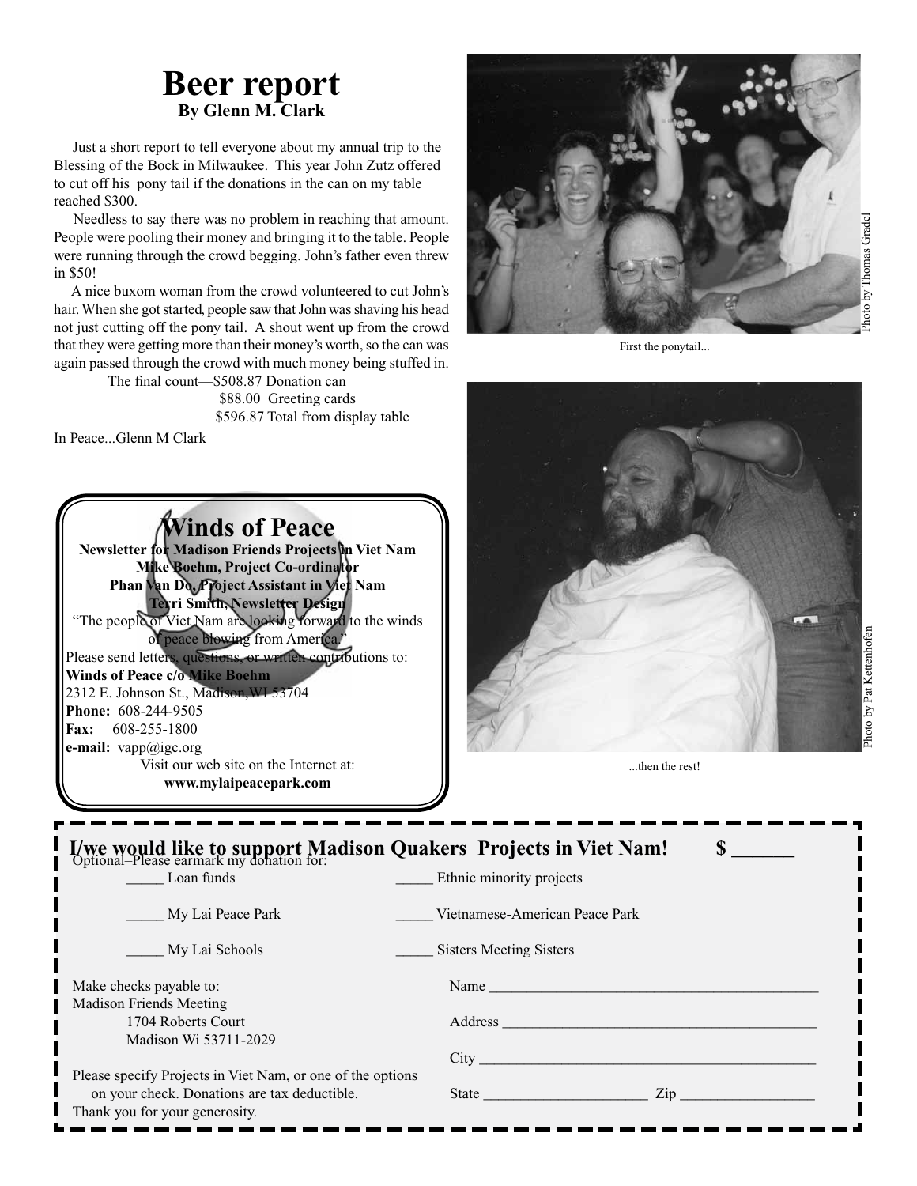### **Beer report By Glenn M. Clark**

 Just a short report to tell everyone about my annual trip to the Blessing of the Bock in Milwaukee. This year John Zutz offered to cut off his pony tail if the donations in the can on my table reached \$300.

 Needless to say there was no problem in reaching that amount. People were pooling their money and bringing it to the table. People were running through the crowd begging. John's father even threw in \$50!

 A nice buxom woman from the crowd volunteered to cut John's hair. When she got started, people saw that John was shaving his head not just cutting off the pony tail. A shout went up from the crowd that they were getting more than their money's worth, so the can was again passed through the crowd with much money being stuffed in.

> The final count—\$508.87 Donation can \$88.00 Greeting cards \$596.87 Total from display table

In Peace...Glenn M Clark

**Winds of Peace Newsletter for Madison Friends Projects in Viet Nam Mike Boehm, Project Co-ordinator Phan Van Do, Project Assistant in Viet Nam Terri Smith, Newsletter Design** "The people of Viet Nam are looking forward to the winds of peace blowing from America." Please send letters, questions, or written contributions to: **Winds of Peace c/o Mike Boehm** 2312 E. Johnson St., Madison,WI 53704 **Phone:** 608-244-9505 **Fax:** 608-255-1800 **e-mail:** vapp@igc.org Visit our web site on the Internet at: **www.mylaipeacepark.com**



First the ponytail...



...then the rest!

| I/we would like to support Madison Quakers Projects in Viet Nam!<br>Optional–Please earmark my donation for: |                                                                                                                                                                                                                                                  |
|--------------------------------------------------------------------------------------------------------------|--------------------------------------------------------------------------------------------------------------------------------------------------------------------------------------------------------------------------------------------------|
| Loan funds                                                                                                   | Ethnic minority projects                                                                                                                                                                                                                         |
| My Lai Peace Park                                                                                            | Vietnamese-American Peace Park                                                                                                                                                                                                                   |
| My Lai Schools                                                                                               | <b>Sisters Meeting Sisters</b>                                                                                                                                                                                                                   |
| Make checks payable to:<br><b>Madison Friends Meeting</b>                                                    | Name and the contract of the contract of the contract of the contract of the contract of the contract of the contract of the contract of the contract of the contract of the contract of the contract of the contract of the c                   |
| 1704 Roberts Court<br>Madison Wi 53711-2029                                                                  | Address and the contract of the contract of the contract of the contract of the contract of the contract of the contract of the contract of the contract of the contract of the contract of the contract of the contract of th                   |
|                                                                                                              | City                                                                                                                                                                                                                                             |
| Please specify Projects in Viet Nam, or one of the options                                                   |                                                                                                                                                                                                                                                  |
| on your check. Donations are tax deductible.                                                                 | $\mathsf{Zip}$<br>State in the state of the state of the state of the state of the state of the state of the state of the state of the state of the state of the state of the state of the state of the state of the state of the state of the s |
| Thank you for your generosity.                                                                               |                                                                                                                                                                                                                                                  |